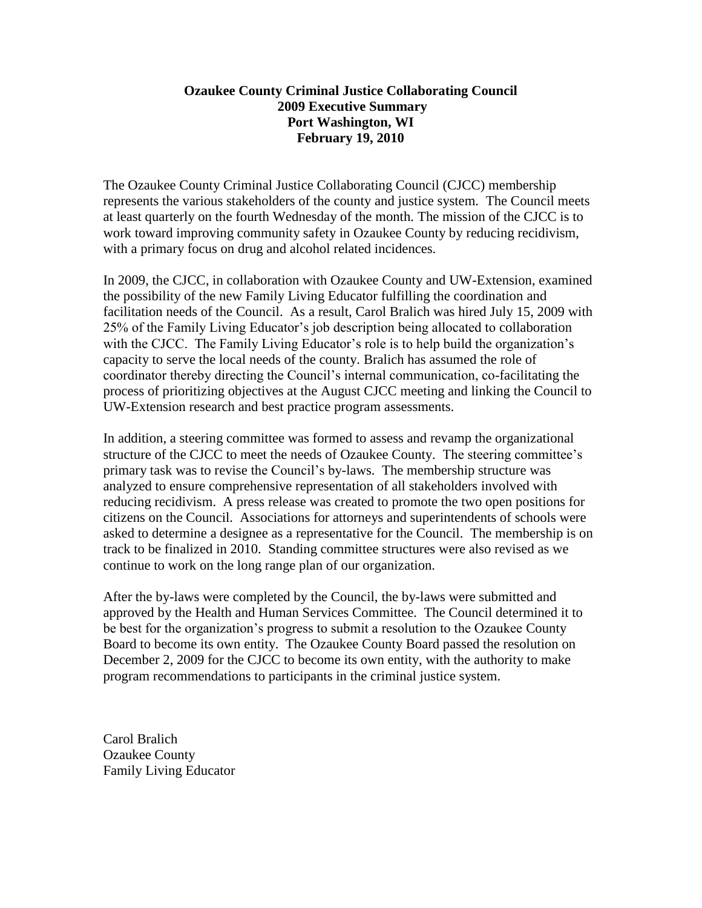## **Ozaukee County Criminal Justice Collaborating Council 2009 Executive Summary Port Washington, WI February 19, 2010**

The Ozaukee County Criminal Justice Collaborating Council (CJCC) membership represents the various stakeholders of the county and justice system. The Council meets at least quarterly on the fourth Wednesday of the month. The mission of the CJCC is to work toward improving community safety in Ozaukee County by reducing recidivism, with a primary focus on drug and alcohol related incidences.

In 2009, the CJCC, in collaboration with Ozaukee County and UW-Extension, examined the possibility of the new Family Living Educator fulfilling the coordination and facilitation needs of the Council. As a result, Carol Bralich was hired July 15, 2009 with 25% of the Family Living Educator's job description being allocated to collaboration with the CJCC. The Family Living Educator's role is to help build the organization's capacity to serve the local needs of the county. Bralich has assumed the role of coordinator thereby directing the Council's internal communication, co-facilitating the process of prioritizing objectives at the August CJCC meeting and linking the Council to UW-Extension research and best practice program assessments.

In addition, a steering committee was formed to assess and revamp the organizational structure of the CJCC to meet the needs of Ozaukee County. The steering committee's primary task was to revise the Council's by-laws. The membership structure was analyzed to ensure comprehensive representation of all stakeholders involved with reducing recidivism. A press release was created to promote the two open positions for citizens on the Council. Associations for attorneys and superintendents of schools were asked to determine a designee as a representative for the Council. The membership is on track to be finalized in 2010. Standing committee structures were also revised as we continue to work on the long range plan of our organization.

After the by-laws were completed by the Council, the by-laws were submitted and approved by the Health and Human Services Committee. The Council determined it to be best for the organization's progress to submit a resolution to the Ozaukee County Board to become its own entity. The Ozaukee County Board passed the resolution on December 2, 2009 for the CJCC to become its own entity, with the authority to make program recommendations to participants in the criminal justice system.

Carol Bralich Ozaukee County Family Living Educator